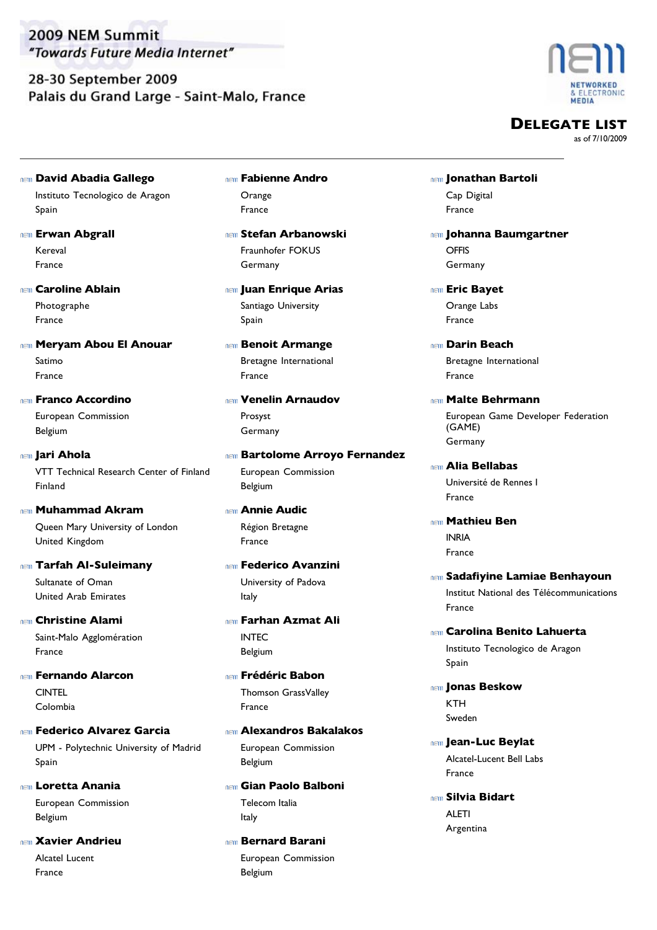## 28-30 September 2009 Palais du Grand Large - Saint-Malo, France



**DELEGATE LIST**

- Instituto Tecnologico de Aragon **David Abadia Gallego** Spain
- Kereval **REIN** Erwan Abgrall France
- Photographe **Caroline Ablain** France
- Satimo **Meryam Abou El Anouar** France
- European Commission **Franco Accordino** Belgium
- VTT Technical Research Center of Finland **Jari Ahola** Finland
- Queen Mary University of London **Muhammad Akram** United Kingdom
- Sultanate of Oman **Tarfah Al-Suleimany** United Arab Emirates
- Saint-Malo Agglomération **Christine Alami** France
- **CINTEL Fernando Alarcon** Colombia
- UPM Polytechnic University of Madrid **Federico Alvarez Garcia** Spain
- European Commission **Loretta Anania** Belgium
- Alcatel Lucent **Xavier Andrieu** France
- **Orange Fabienne Andro** France
- Fraunhofer FOKUS **Stefan Arbanowski** Germany
- Santiago University **Juan Enrique Arias** Spain
- Bretagne International **Benoit Armange** France
- Prosyst **Venelin Arnaudov** Germany
- European Commission **Bartolome Arroyo Fernandez** Belgium
- Région Bretagne **Annie Audic** France
- University of Padova **Federico Avanzini** Italy
- INTEC **Farhan Azmat Ali** Belgium
- Thomson GrassValley **Frédéric Babon** France
- European Commission **Alexandros Bakalakos** Belgium
- Telecom Italia **Gian Paolo Balboni** Italy
- European Commission **Bernard Barani** Belgium
- Cap Digital **Jonathan Bartoli** France
- **OFFIS Johanna Baumgartner** Germany
- Orange Labs **Eric Bayet** France
- Bretagne International **Darin Beach** France
- European Game Developer Federation (GAME) **Malte Behrmann** Germany
- Université de Rennes I **Alia Bellabas** France
- INRIA **Mathieu Ben** France
- Institut National des Télécommunications **Sadafiyine Lamiae Benhayoun** France
- Instituto Tecnologico de Aragon **Carolina Benito Lahuerta** Spain
- **KTH Jonas Beskow** Sweden
- Alcatel-Lucent Bell Labs **Jean-Luc Beylat** France
- ALETI **Silvia Bidart** Argentina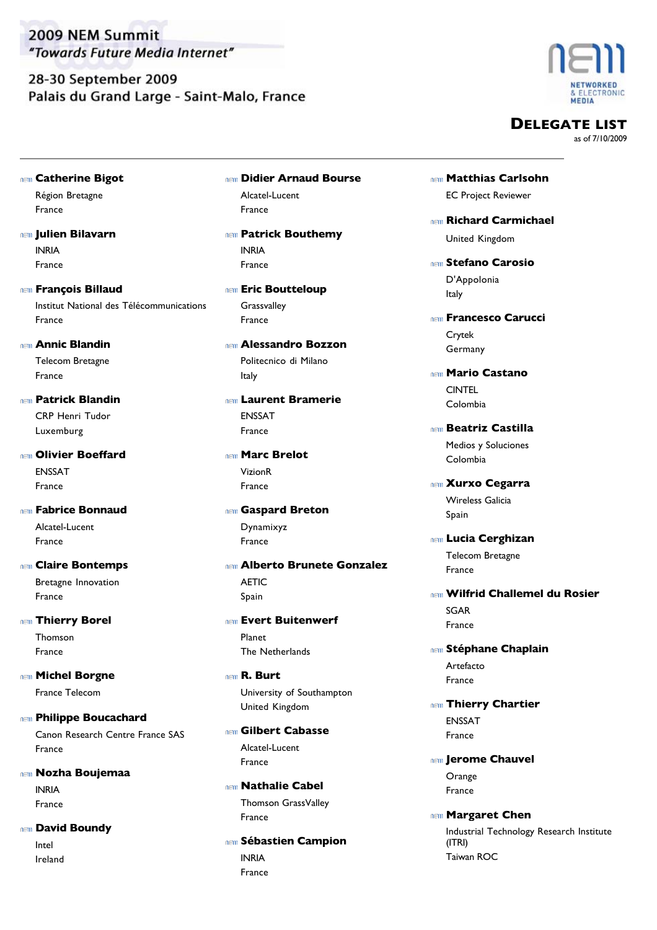28-30 September 2009 Palais du Grand Large - Saint-Malo, France



**DELEGATE LIST**

as of 7/10/2009

- Région Bretagne **Catherine Bigot**
- INRIA **Julien Bilavarn** France

France

- Institut National des Télécommunications **François Billaud** France
- Telecom Bretagne **Annic Blandin** France
- CRP Henri Tudor **Patrick Blandin** Luxemburg
- ENSSAT **nem Olivier Boeffard** France
- Alcatel-Lucent **Fabrice Bonnaud** France
- Bretagne Innovation **Claire Bontemps** France
- Thomson **Thierry Borel** France
- France Telecom **Michel Borgne**
- Canon Research Centre France SAS **REIN** Philippe Boucachard France
- INRIA **Nozha Boujemaa** France
- Intel **David Boundy** Ireland
- Alcatel-Lucent **Didier Arnaud Bourse** France
- INRIA **REIN Patrick Bouthemy** France
- **Grassvalley nem Eric Boutteloup** France
- Politecnico di Milano **Alessandro Bozzon** Italy
- ENSSAT **Laurent Bramerie** France
- VizionR **Marc Brelot** France
- Dynamixyz **Gaspard Breton** France
- **AFTIC Alberto Brunete Gonzalez** Spain
- Planet **Evert Buitenwerf** The Netherlands
- University of Southampton **R. Burt** United Kingdom
- Alcatel-Lucent **Gilbert Cabasse** France
- Thomson GrassValley **Nathalie Cabel** France
- INRIA **Sébastien Campion** France
- EC Project Reviewer **Matthias Carlsohn**
- **Richard Carmichael** United Kingdom
- D'Appolonia **Stefano Carosio** Italy
- Crytek **Francesco Carucci** Germany
- CINTEL **Mario Castano** Colombia
- Medios y Soluciones **Beatriz Castilla** Colombia
- Wireless Galicia **Xurxo Cegarra** Spain
- Telecom Bretagne **Lucia Cerghizan** France
- SGAR **Wilfrid Challemel du Rosier** France
- Artefacto **Stéphane Chaplain** France
- ENSSAT **nem Thierry Chartier** France
- **Orange** *IEII* Jerome Chauvel France
- Industrial Technology Research Institute (ITRI) **Margaret Chen** Taiwan ROC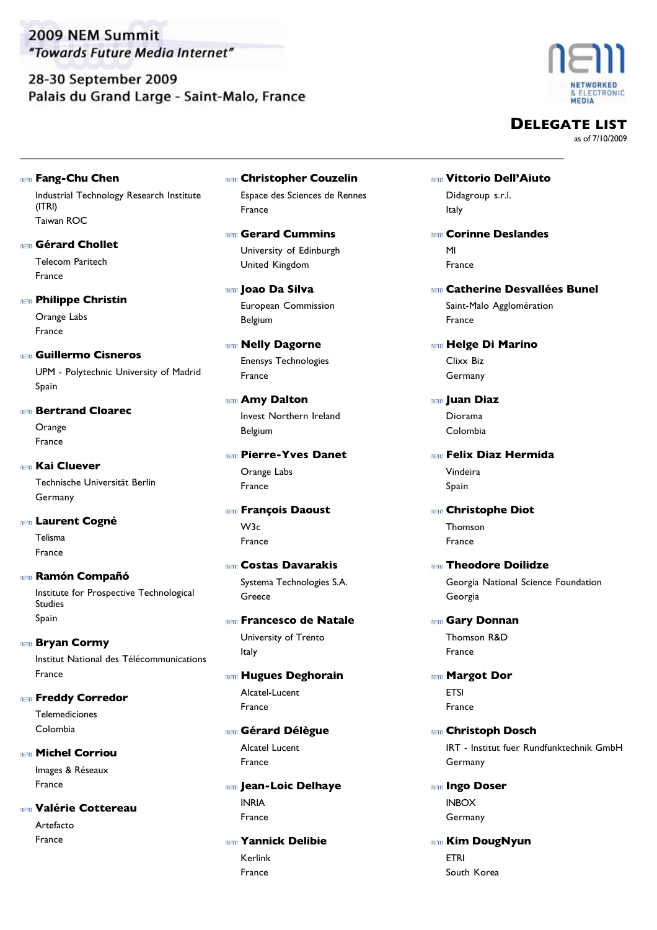## 28-30 September 2009 Palais du Grand Large - Saint-Malo, France



**DELEGATE LIST**

as of 7/10/2009

Industrial Technology Research Institute **Fang-Chu Chen**

(ITRI) Taiwan ROC

Telecom Paritech **Gérard Chollet** France

#### *<b>REID* Philippe Christin

Orange Labs France

UPM - Polytechnic University of Madrid **Guillermo Cisneros** Spain

- **Orange Bertrand Cloarec** France
- Technische Universität Berlin **Kai Cluever** Germany
- Telisma **Laurent Cogné** France
- Institute for Prospective Technological Studies **Ramón Compañó**  Spain
- Institut National des Télécommunications **Bryan Cormy** France
- Telemediciones **REID** Freddy Corredor Colombia
- Images & Réseaux **Michel Corriou** France
- Artefacto **Valérie Cottereau** France
- Espace des Sciences de Rennes **Christopher Couzelin** France
- University of Edinburgh **Gerard Cummins** United Kingdom
- European Commission **Joao Da Silva** Belgium
- Enensys Technologies **Nelly Dagorne** France
- Invest Northern Ireland **Amy Dalton** Belgium
- Orange Labs **Pierre-Yves Danet** France
- W3c **François Daoust** France
- Systema Technologies S.A. **Costas Davarakis** Greece
- University of Trento **Francesco de Natale** Italy
- Alcatel-Lucent **Hugues Deghorain** France
- Alcatel Lucent **Gérard Délègue** France
- INRIA **Jean-Loic Delhaye** France
- Kerlink **Yannick Delibie** France
- Didagroup s.r.l. **Vittorio Dell'Aiuto** Italy
- MI **Corinne Deslandes** France
- Saint-Malo Agglomération **Catherine Desvallées Bunel** France
- Clixx Biz **Helge Di Marino** Germany
- Diorama **Juan Diaz** Colombia
- Vindeira **Felix Diaz Hermida**
	- Spain
- Thomson **Christophe Diot** France
- Georgia National Science Foundation **Theodore Doilidze** Georgia
- Thomson R&D **Gary Donnan** France
- **ETSI Margot Dor** France
- IRT Institut fuer Rundfunktechnik GmbH **Christoph Dosch** Germany
- INBOX **Ingo Doser** Germany
- ETRI **REIN Kim DougNyun** South Korea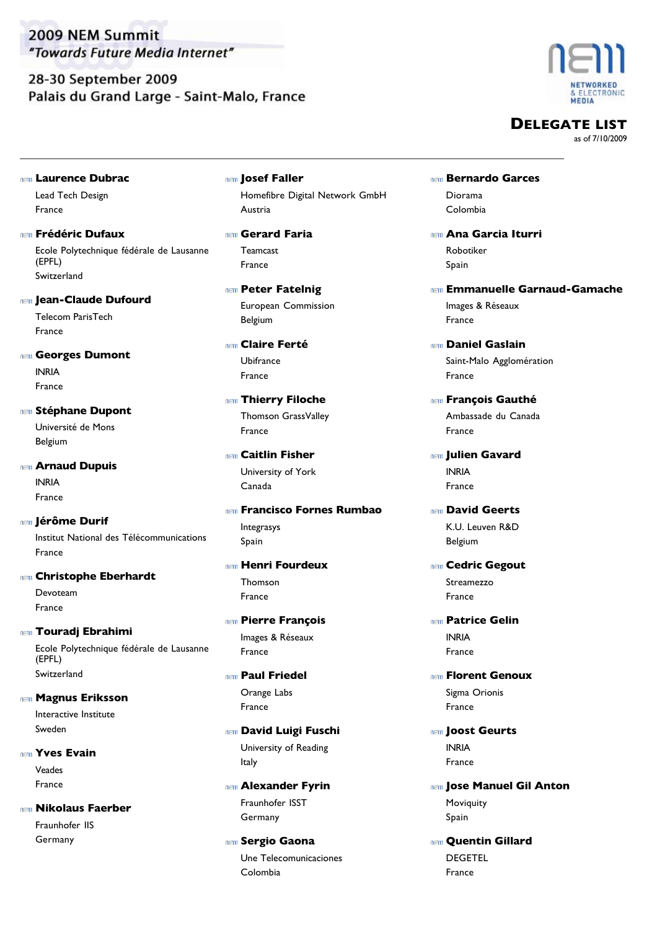28-30 September 2009 Palais du Grand Large - Saint-Malo, France



**DELEGATE LIST**

as of 7/10/2009

**Laurence Dubrac**

Lead Tech Design France

- Ecole Polytechnique fédérale de Lausanne (EPFL) **Frédéric Dufaux** Switzerland
- **Jean-Claude Dufourd**

Telecom ParisTech France

- INRIA **Georges Dumont** France
- Université de Mons **Stéphane Dupont** Belgium

INRIA **Arnaud Dupuis** France

Institut National des Télécommunications **Jérôme Durif** France

#### **Christophe Eberhardt**

Devoteam France

**Touradj Ebrahimi**

Ecole Polytechnique fédérale de Lausanne (EPFL) Switzerland

Interactive Institute **Magnus Eriksson** Sweden

Veades *<b>INGI* Yves Evain France

Fraunhofer IIS **Nikolaus Faerber** Germany

Homefibre Digital Network GmbH **Josef Faller** Austria

Teamcast **Gerard Faria** France

European Commission **REIN Peter Fatelnig** Belgium

Ubifrance **Claire Ferté** France

- Thomson GrassValley **Thierry Filoche** France
- University of York **Caitlin Fisher** Canada

Integrasys **Francisco Fornes Rumbao** Spain

- Thomson **Henri Fourdeux** France
- Images & Réseaux **Pierre François** France
- Orange Labs **Paul Friedel** France

University of Reading **David Luigi Fuschi** Italy

Fraunhofer ISST **Alexander Fyrin** Germany

Une Telecomunicaciones *<b>Sergio Gaona* Colombia

- Diorama **Bernardo Garces** Colombia
- Robotiker **Ana Garcia Iturri** Spain
- Images & Réseaux **Emmanuelle Garnaud-Gamache** France
- Saint-Malo Agglomération **Daniel Gaslain** France
- Ambassade du Canada **François Gauthé** France
- INRIA **Julien Gavard** France
- K.U. Leuven R&D **David Geerts** Belgium
- Streamezzo **REID Cedric Gegout** France
- INRIA **Patrice Gelin** France
- Sigma Orionis **REIN Florent Genoux** France
- INRIA **Joost Geurts** France
- Moviquity **Jose Manuel Gil Anton** Spain
- DEGETEL **nem Ouentin Gillard** France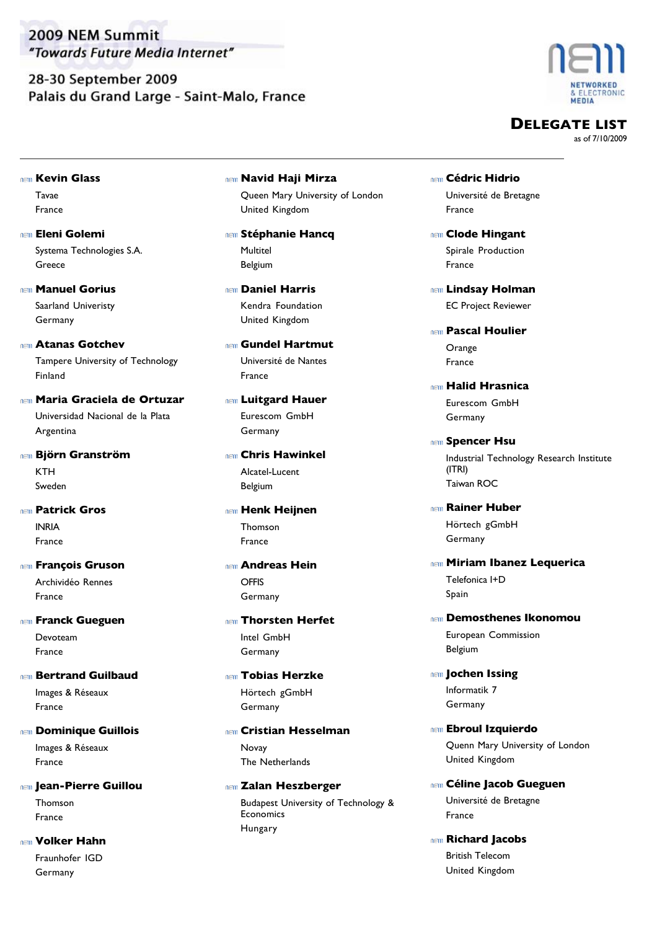28-30 September 2009 Palais du Grand Large - Saint-Malo, France



**DELEGATE LIST**

- Tavae **Kevin Glass** 
	- France
- Systema Technologies S.A. **Eleni Golemi** Greece
- Saarland Univeristy **Manuel Gorius** Germany
- Tampere University of Technology **Atanas Gotchev** Finland
- Universidad Nacional de la Plata **Maria Graciela de Ortuzar** Argentina
- KTH **Björn Granström** Sweden
- INRIA **Patrick Gros** France
- Archividéo Rennes **François Gruson** France
- Devoteam **Franck Gueguen** France
- Images & Réseaux **Bertrand Guilbaud** France
- Images & Réseaux **Dominique Guillois** France
- Thomson **Jean-Pierre Guillou** France
- Fraunhofer IGD **Volker Hahn** Germany
- Queen Mary University of London **Navid Haji Mirza** United Kingdom
- Multitel **Stéphanie Hancq** Belgium
- Kendra Foundation **Daniel Harris** United Kingdom
- Université de Nantes **Gundel Hartmut** France
- Eurescom GmbH **Luitgard Hauer** Germany
- Alcatel-Lucent **Chris Hawinkel** Belgium
- Thomson **Henk Heijnen** France
- **OFFIS Andreas Hein** Germany
- Intel GmbH **Thorsten Herfet** Germany
- Hörtech gGmbH **Tobias Herzke** Germany
- Novay **Cristian Hesselman** The Netherlands
- Budapest University of Technology & **Economics** *<b>IED* Zalan Heszberger Hungary
- Université de Bretagne **Cédric Hidrio** France
- Spirale Production **REID** Clode Hingant France
- EC Project Reviewer **Lindsay Holman**
- **Orange Pascal Houlier** France
- Eurescom GmbH **Halid Hrasnica** Germany
- Industrial Technology Research Institute (ITRI) **Spencer Hsu** Taiwan ROC
- Hörtech gGmbH **Rainer Huber** Germany
- Telefonica I+D **Miriam Ibanez Lequerica** Spain
- European Commission **Demosthenes Ikonomou** Belgium
- Informatik 7 *I***OChen Issing** Germany
- Quenn Mary University of London **Ebroul Izquierdo** United Kingdom
- Université de Bretagne **Céline Jacob Gueguen** France
- British Telecom **Richard Jacobs** United Kingdom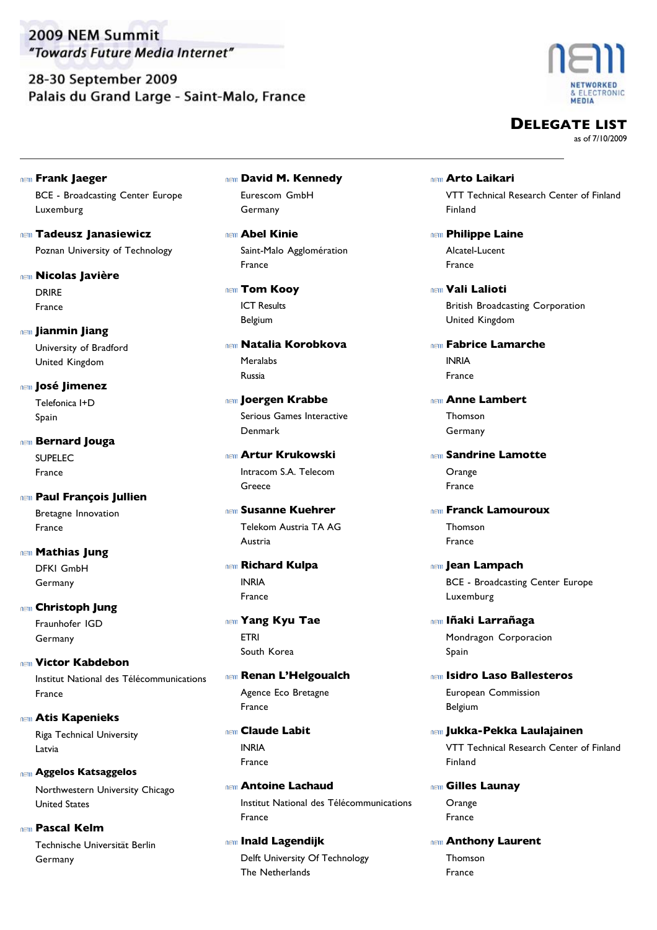28-30 September 2009 Palais du Grand Large - Saint-Malo, France



**DELEGATE LIST**

- BCE Broadcasting Center Europe **Frank Jaeger** Luxemburg
- Poznan University of Technology **Tadeusz Janasiewicz**
- DRIRE **Nicolas Javière**
	- France
- University of Bradford **Jianmin Jiang**
	- United Kingdom
- Telefonica I+D **José Jimenez** Spain
- SUPELEC **Bernard Jouga** France
- Bretagne Innovation **Paul François Jullien** France
- DFKI GmbH **Mathias Jung** Germany
- Fraunhofer IGD **Christoph Jung** Germany
- Institut National des Télécommunications **Victor Kabdebon** France
- Riga Technical University **Atis Kapenieks** Latvia
- Northwestern University Chicago **Aggelos Katsaggelos** United States
- Technische Universität Berlin **Pascal Kelm** Germany
- Eurescom GmbH **David M. Kennedy** Germany
- Saint-Malo Agglomération **Abel Kinie** France
- ICT Results **Tom Kooy** Belgium
- Meralabs **Natalia Korobkova** Russia
- Serious Games Interactive **Joergen Krabbe** Denmark
- Intracom S.A. Telecom **Artur Krukowski** Greece
- Telekom Austria TA AG **Susanne Kuehrer** Austria
- INRIA **Richard Kulpa** France
- ETRI **Yang Kyu Tae** South Korea
- Agence Eco Bretagne **Renan L'Helgoualch** France
- INRIA **Claude Labit** France
- Institut National des Télécommunications **Antoine Lachaud** France
- Delft University Of Technology **Inald Lagendijk** The Netherlands
- VTT Technical Research Center of Finland **Arto Laikari** Finland
- Alcatel-Lucent **REIN** Philippe Laine France
- British Broadcasting Corporation **Vali Lalioti** United Kingdom
- INRIA **Fabrice Lamarche** France
- Thomson **Anne Lambert** Germany
- **Orange Sandrine Lamotte** France
- Thomson **Franck Lamouroux** France
- BCE Broadcasting Center Europe **Jean Lampach** Luxemburg
- Mondragon Corporacion **Iñaki Larrañaga** Spain
- European Commission **Isidro Laso Ballesteros** Belgium
- VTT Technical Research Center of Finland **Jukka-Pekka Laulajainen** Finland
- **Orange Gilles Launay** France
- Thomson **Anthony Laurent** France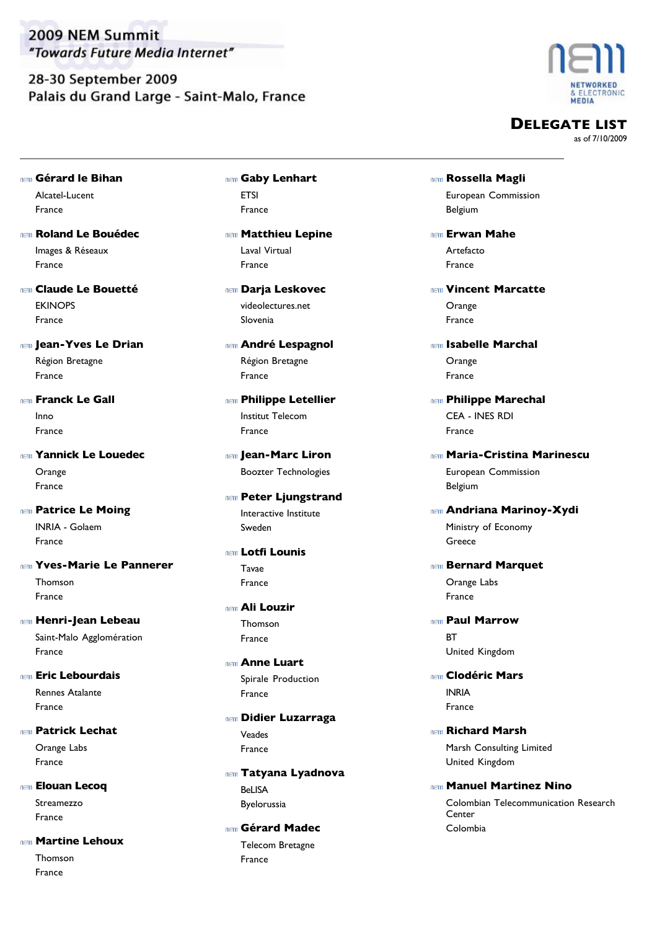28-30 September 2009 Palais du Grand Large - Saint-Malo, France



**DELEGATE LIST**

as of 7/10/2009

- Alcatel-Lucent **Gérard le Bihan** France
- Images & Réseaux **Roland Le Bouédec** France
- **EKINOPS Claude Le Bouetté** France
- Région Bretagne **Jean-Yves Le Drian** France
- Inno **Franck Le Gall** France
- **Orange Yannick Le Louedec** France
- INRIA Golaem **Patrice Le Moing** France
- Thomson **Yves-Marie Le Pannerer** France
- Saint-Malo Agglomération **Henri-Jean Lebeau**
- Rennes Atalante **Eric Lebourdais** France

France

- Orange Labs **Patrick Lechat** France
- Streamezzo **Elouan Lecoq** France
- **Martine Lehoux**
	- Thomson France
- **ETSI Gaby Lenhart** France
- Laval Virtual **Matthieu Lepine** France
- videolectures.net **Darja Leskovec** Slovenia
- Région Bretagne **André Lespagnol** France
- Institut Telecom **REIN** Philippe Letellier France
- Boozter Technologies **Jean-Marc Liron**
- Interactive Institute **Ren Peter Ljungstrand** Sweden
- Tavae **Lotfi Lounis** France
- Thomson **Ali Louzir** France
- Spirale Production **Anne Luart** France
- Veades **Didier Luzarraga** France
- BeLISA **Tatyana Lyadnova** Byelorussia
- Telecom Bretagne **Gérard Madec** France
- European Commission **Rossella Magli** Belgium
- Artefacto **Erwan Mahe** France
- Orange **Vincent Marcatte** France
- Orange **Isabelle Marchal** France
- CEA INES RDI **REIN** Philippe Marechal France
- European Commission **Maria-Cristina Marinescu**
- Belgium **Andriana Marinoy-Xydi**
	- Ministry of Economy Greece
- Orange Labs **Bernard Marquet** France
- **BT Paul Marrow** United Kingdom
- INRIA **Clodéric Mars** France
- Marsh Consulting Limited **Richard Marsh** United Kingdom
- Colombian Telecommunication Research Center **Manuel Martinez Nino** Colombia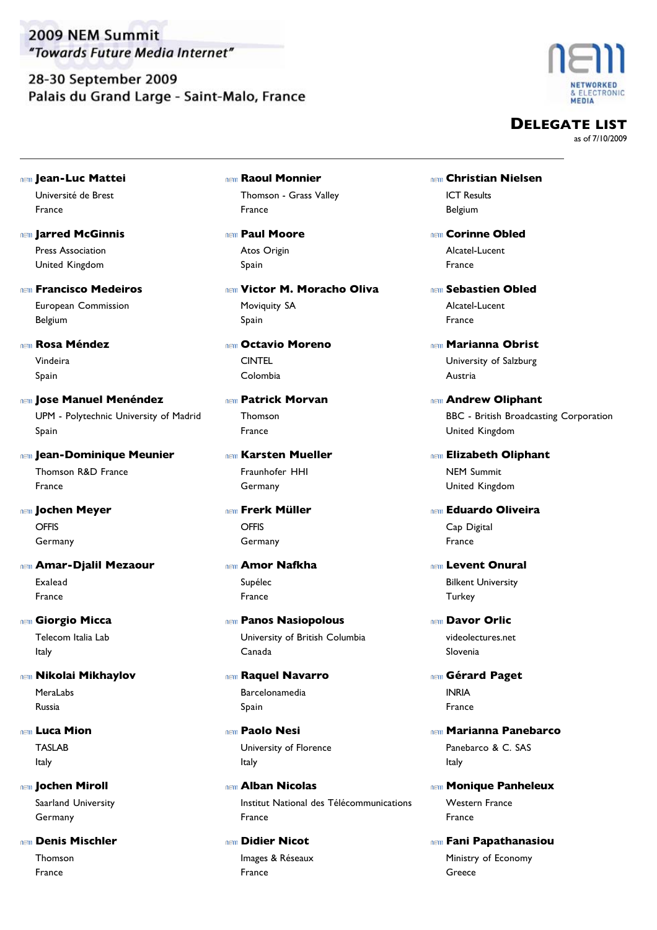28-30 September 2009 Palais du Grand Large - Saint-Malo, France



**DELEGATE LIST**

- Université de Brest **Jean-Luc Mattei** France
- Press Association **Jarred McGinnis** United Kingdom
- European Commission **Francisco Medeiros** Belgium
- Vindeira **Rosa Méndez** Spain
- UPM Polytechnic University of Madrid **Jose Manuel Menéndez** Spain
- Thomson R&D France **Jean-Dominique Meunier** France
- **OFFIS Jochen Meyer** Germany
- Exalead **Amar-Djalil Mezaour** France
- Telecom Italia Lab **Giorgio Micca** Italy
- MeraLabs **Nikolai Mikhaylov** Russia
- TASLAB **Luca Mion** Italy
- Saarland University *I***OChen Miroll** Germany
- Thomson **Denis Mischler** France
- Thomson Grass Valley **Raoul Monnier** France
- Atos Origin **Paul Moore** Spain
- Moviquity SA **Victor M. Moracho Oliva** Spain
- **CINTEL Octavio Moreno** Colombia
- Thomson **Patrick Morvan** France
- Fraunhofer HHI **Karsten Mueller** Germany
- **OFFIS Frerk Müller** Germany
- Supélec **Amor Nafkha** France
- University of British Columbia **Panos Nasiopolous** Canada
- Barcelonamedia **Raquel Navarro** Spain
- University of Florence **Paolo Nesi** Italy
- Institut National des Télécommunications **Alban Nicolas** France
- Images & Réseaux **Didier Nicot** France
- ICT Results **Christian Nielsen** Belgium
- Alcatel-Lucent **Corinne Obled** France
- Alcatel-Lucent **Sebastien Obled** France
- University of Salzburg **Marianna Obrist** Austria
- BBC British Broadcasting Corporation **Andrew Oliphant** United Kingdom
- NEM Summit **Elizabeth Oliphant** United Kingdom
- Cap Digital **Eduardo Oliveira** France
- Bilkent University **Levent Onural Turkey**
- videolectures.net **Davor Orlic** Slovenia
- INRIA **Gérard Paget** France
- Panebarco & C. SAS **Marianna Panebarco** Italy
- Western France **Monique Panheleux** France
- Ministry of Economy **Fani Papathanasiou** Greece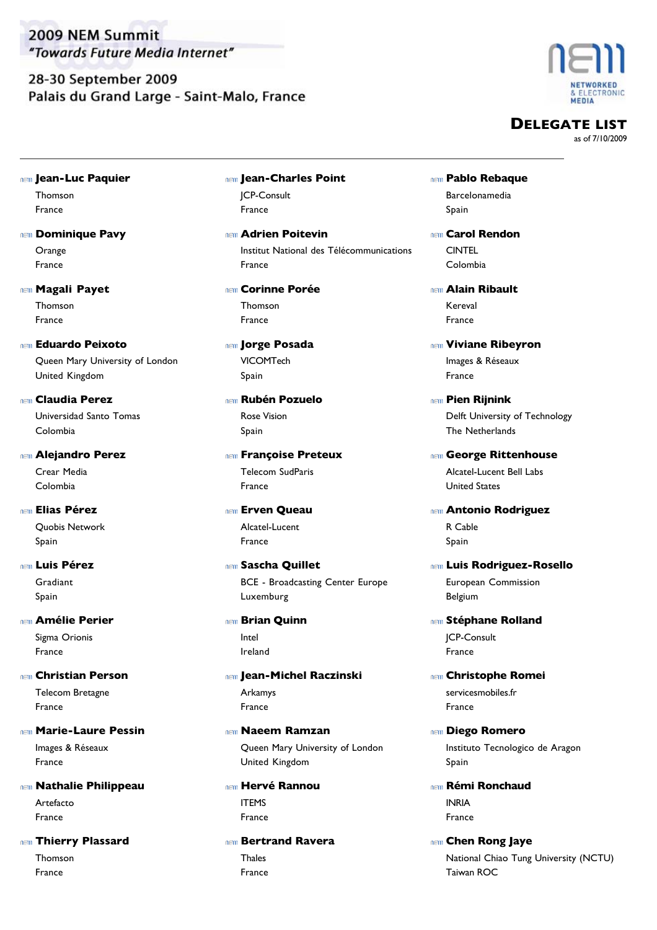28-30 September 2009 Palais du Grand Large - Saint-Malo, France



**DELEGATE LIST**

as of 7/10/2009

Thomson **Jean-Luc Paquier**

France

- **Orange nem Dominique Pavy** France
- Thomson **Magali Payet** France
- Queen Mary University of London **Eduardo Peixoto** United Kingdom
- Universidad Santo Tomas **Claudia Perez** Colombia
- Crear Media **Alejandro Perez** Colombia
- Quobis Network **Elias Pérez** Spain
- **Gradiant Luis Pérez** Spain
- Sigma Orionis **Amélie Perier** France
- Telecom Bretagne **Christian Person** France
- Images & Réseaux **Marie-Laure Pessin** France
- Artefacto **Nathalie Philippeau** France

**Thierry Plassard** 

Thomson France

- JCP-Consult **Jean-Charles Point** France
- Institut National des Télécommunications **Adrien Poitevin** France
- Thomson **Corinne Porée** France
- VICOMTech **Jorge Posada** Spain
- Rose Vision **Rubén Pozuelo** Spain
- Telecom SudParis **Francoise Preteux** France
- Alcatel-Lucent **Erven Queau** France
- BCE Broadcasting Center Europe **Sascha Quillet** Luxemburg
- Intel **REIN** Brian Quinn Ireland
- Arkamys **Jean-Michel Raczinski** France
- Queen Mary University of London **Naeem Ramzan** United Kingdom
- ITEMS **Hervé Rannou** France
- **Thales Bertrand Ravera** France
- Barcelonamedia **Pablo Rebaque** Spain
- **CINTEL Carol Rendon** Colombia
- Kereval **Alain Ribault** France
- Images & Réseaux **Viviane Ribeyron** France
- Delft University of Technology **Pien Rijnink** The Netherlands
- Alcatel-Lucent Bell Labs **George Rittenhouse** United States
- R Cable **Antonio Rodriguez** Spain
- European Commission **Luis Rodriguez-Rosello** Belgium
- JCP-Consult **Stéphane Rolland** France
- servicesmobiles.fr **Christophe Romei** France
- Instituto Tecnologico de Aragon **Diego Romero** Spain
- INRIA **Rémi Ronchaud** France
- National Chiao Tung University (NCTU) **REID Chen Rong Jaye** Taiwan ROC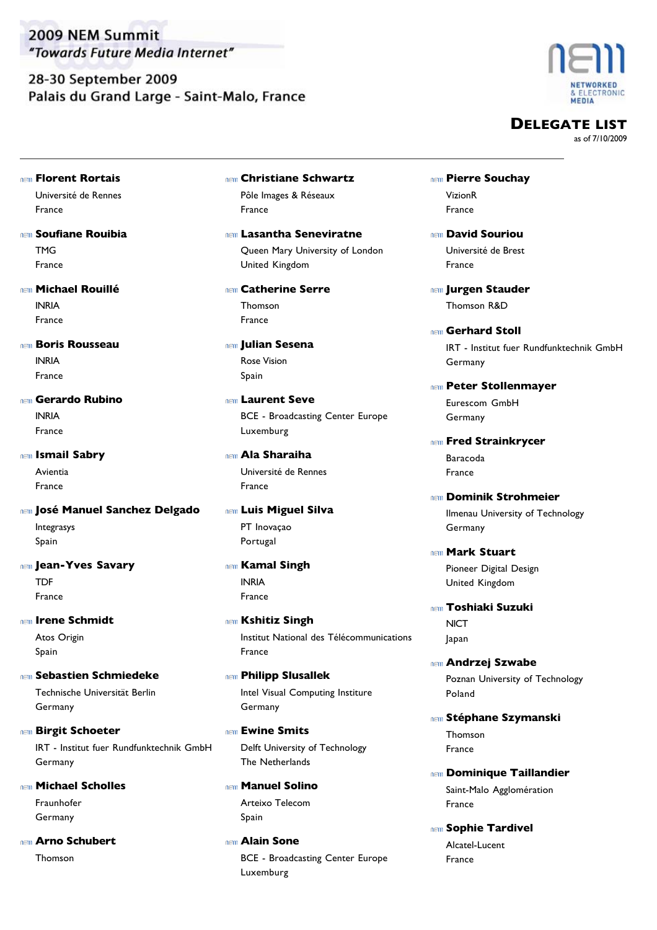28-30 September 2009 Palais du Grand Large - Saint-Malo, France



**DELEGATE LIST**

as of 7/10/2009

**Florent Rortais**

Université de Rennes France

- TMG **Soufiane Rouibia** France
- INRIA **Michael Rouillé** France

**Boris Rousseau** 

INRIA France

INRIA **Gerardo Rubino** France

Avientia **Ismail Sabry**

France

- Integrasys **José Manuel Sanchez Delgado** Spain
- **TDF IEIII** Jean-Yves Savary France
- Atos Origin **Irene Schmidt** Spain
- Technische Universität Berlin **Sebastien Schmiedeke** Germany
- IRT Institut fuer Rundfunktechnik GmbH **Birgit Schoeter** Germany
- Fraunhofer **Michael Scholles** Germany
- Thomson **Arno Schubert**
- Pôle Images & Réseaux **Christiane Schwartz** France
- Queen Mary University of London **Lasantha Seneviratne** United Kingdom
- Thomson **Catherine Serre** France
- Rose Vision **Julian Sesena** Spain
- BCE Broadcasting Center Europe **Laurent Seve** Luxemburg
- Université de Rennes **Ala Sharaiha** France
- PT Inovaçao **Luis Miguel Silva** Portugal
- INRIA **Kamal Singh** France
- Institut National des Télécommunications **REIN Kshitiz Singh** France
- Intel Visual Computing Institure **Philipp Slusallek** Germany
- Delft University of Technology **Ewine Smits** The Netherlands
- Arteixo Telecom **Manuel Solino** Spain
- BCE Broadcasting Center Europe **Alain Sone** Luxemburg
- VizionR **REIN Pierre Souchay** France
- Université de Brest **David Souriou** France
- Thomson R&D **Jurgen Stauder**
- IRT Institut fuer Rundfunktechnik GmbH **Gerhard Stoll** Germany
- Eurescom GmbH **REIN Peter Stollenmayer** Germany
- Baracoda **Fred Strainkrycer** France
- Ilmenau University of Technology **Dominik Strohmeier** Germany
- **Mark Stuart**

Pioneer Digital Design United Kingdom

- **NICT Toshiaki Suzuki** Japan
- Poznan University of Technology **Andrzej Szwabe** Poland
- Thomson **Stéphane Szymanski** France
- Saint-Malo Agglomération **nem Dominique Taillandier** France
- Alcatel-Lucent **Sophie Tardivel** France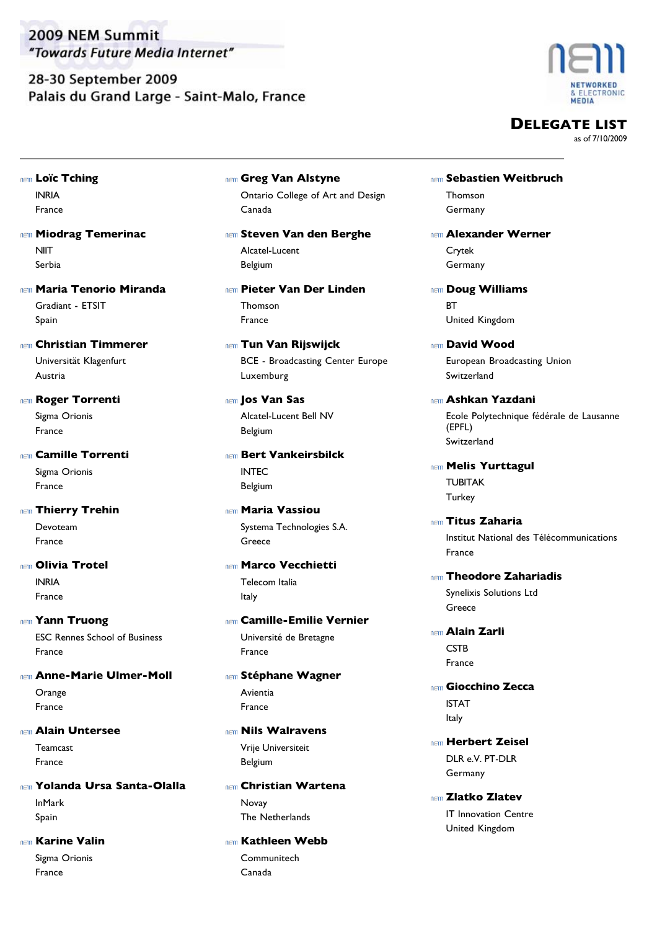28-30 September 2009 Palais du Grand Large - Saint-Malo, France



**DELEGATE LIST**

as of 7/10/2009

INRIA **Loïc Tching** France

**NIIT Miodrag Temerinac** Serbia

Gradiant - ETSIT **Maria Tenorio Miranda** Spain

Universität Klagenfurt **Christian Timmerer** Austria

Sigma Orionis **Roger Torrenti** France

Sigma Orionis **Camille Torrenti** France

Devoteam **nem Thierry Trehin** France

- INRIA **Olivia Trotel** France
- ESC Rennes School of Business **Yann Truong** France
- **Orange Anne-Marie Ulmer-Moll** France
- **Alain Untersee**

Teamcast France

InMark **Yolanda Ursa Santa-Olalla** Spain

Sigma Orionis **Karine Valin** France

Ontario College of Art and Design **Greg Van Alstyne** Canada

Alcatel-Lucent **Steven Van den Berghe** Belgium

Thomson **Pieter Van Der Linden** France

BCE - Broadcasting Center Europe **Tun Van Rijswijck** Luxemburg

Alcatel-Lucent Bell NV **Jos Van Sas** Belgium

INTEC **Bert Vankeirsbilck** Belgium

Systema Technologies S.A. **Maria Vassiou** Greece

Telecom Italia **Marco Vecchietti** Italy

Université de Bretagne **Camille-Emilie Vernier** France

Avientia **Stéphane Wagner** France

Vrije Universiteit **Nils Walravens** Belgium

Novay **Christian Wartena** The Netherlands

**Communitech Kathleen Webb** Canada

- Thomson **Sebastien Weitbruch** Germany
- Crytek **Alexander Werner** Germany
- **RT Doug Williams** United Kingdom
- European Broadcasting Union **David Wood** Switzerland
- Ecole Polytechnique fédérale de Lausanne (EPFL) **Ashkan Yazdani** Switzerland

TUBITAK **Melis Yurttagul Turkey** 

Institut National des Télécommunications **Titus Zaharia** France

- Synelixis Solutions Ltd **Theodore Zahariadis** Greece
- **CSTB Alain Zarli** France
- ISTAT **Giocchino Zecca** Italy
- DLR e.V. PT-DLR **Herbert Zeisel** Germany
- IT Innovation Centre **Zlatko Zlatev** United Kingdom